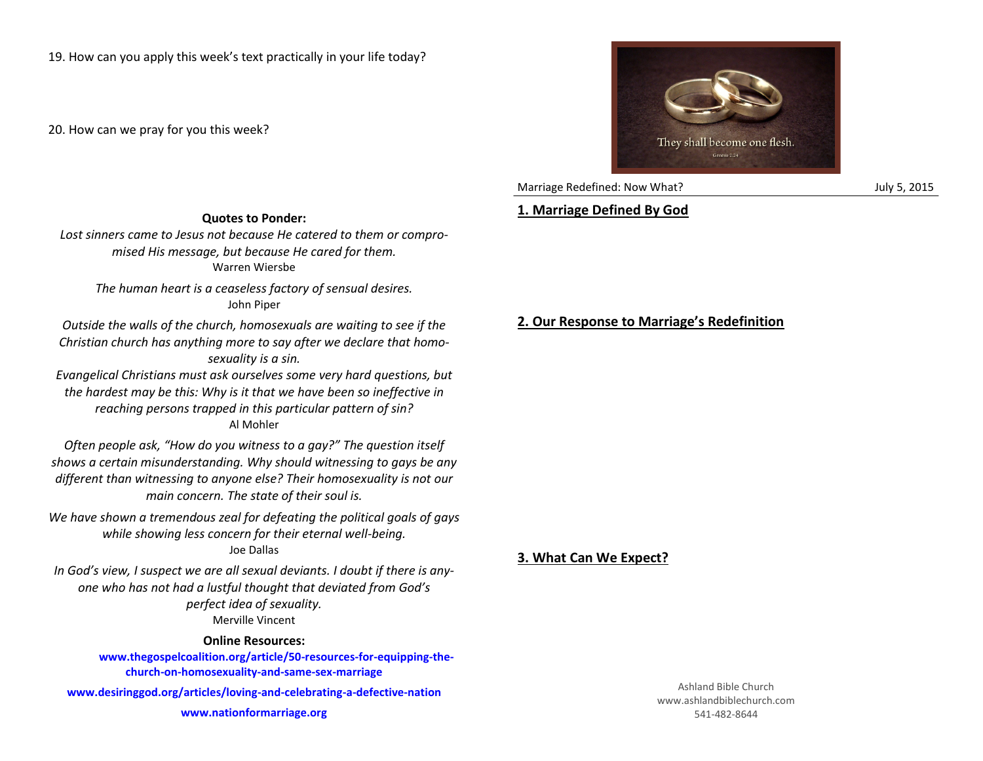20. How can we pray for you this week?



Marriage Redefined: Now What? Marriage Redefined: Now What?

## **1. Marriage Defined By God**

*Lost sinners came to Jesus not because He catered to them or compromised His message, but because He cared for them.* Warren Wiersbe

**Quotes to Ponder:**

*The human heart is a ceaseless factory of sensual desires.* John Piper

*Outside the walls of the church, homosexuals are waiting to see if the Christian church has anything more to say after we declare that homosexuality is a sin.*

*Evangelical Christians must ask ourselves some very hard questions, but the hardest may be this: Why is it that we have been so ineffective in reaching persons trapped in this particular pattern of sin?* Al Mohler

*Often people ask, "How do you witness to a gay?" The question itself shows a certain misunderstanding. Why should witnessing to gays be any different than witnessing to anyone else? Their homosexuality is not our main concern. The state of their soul is.*

*We have shown a tremendous zeal for defeating the political goals of gays while showing less concern for their eternal well-being.* Joe Dallas

*In God's view, I suspect we are all sexual deviants. I doubt if there is anyone who has not had a lustful thought that deviated from God's perfect idea of sexuality.* Merville Vincent

## **Online Resources:**

**www.thegospelcoalition.org/article/50-resources-for-equipping-thechurch-on-homosexuality-and-same-sex-marriage**

**www.desiringgod.org/articles/loving-and-celebrating-a-defective-nation**

**www.nationformarriage.org**

## **2. Our Response to Marriage's Redefinition**

## **3. What Can We Expect?**

Ashland Bible Church www.ashlandbiblechurch.com 541-482-8644